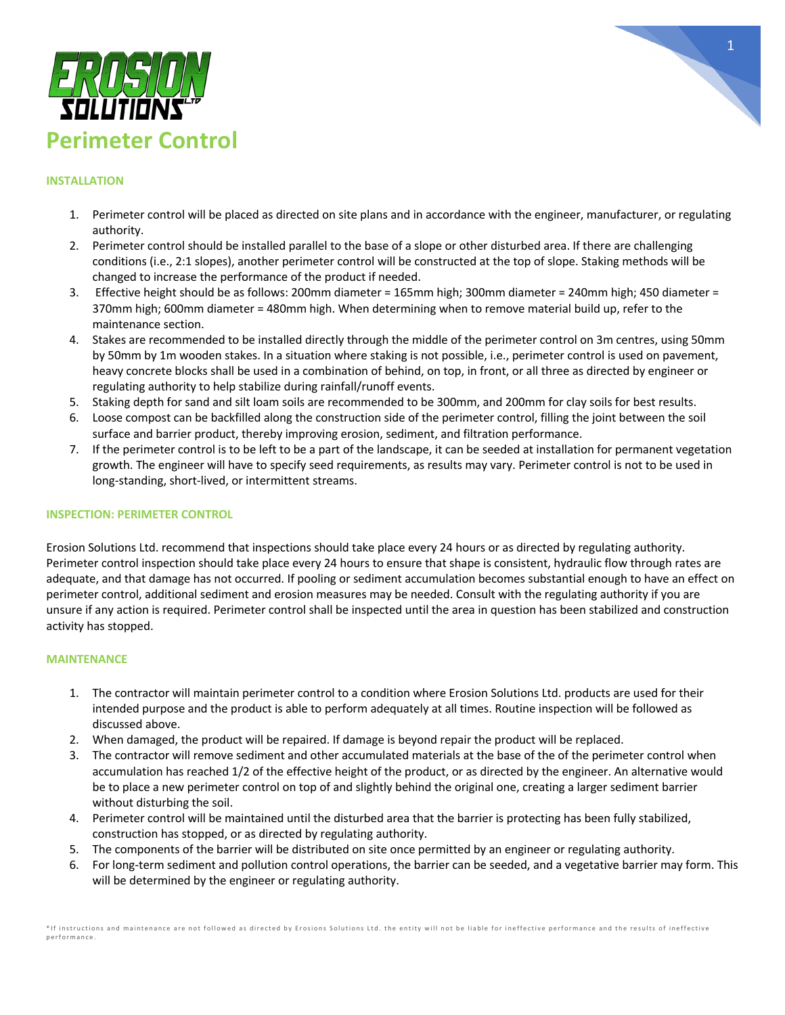



### **INSTALLATION**

- 1. Perimeter control will be placed as directed on site plans and in accordance with the engineer, manufacturer, or regulating authority.
- 2. Perimeter control should be installed parallel to the base of a slope or other disturbed area. If there are challenging conditions (i.e., 2:1 slopes), another perimeter control will be constructed at the top of slope. Staking methods will be changed to increase the performance of the product if needed.
- 3. Effective height should be as follows: 200mm diameter = 165mm high; 300mm diameter = 240mm high; 450 diameter = 370mm high; 600mm diameter = 480mm high. When determining when to remove material build up, refer to the maintenance section.
- 4. Stakes are recommended to be installed directly through the middle of the perimeter control on 3m centres, using 50mm by 50mm by 1m wooden stakes. In a situation where staking is not possible, i.e., perimeter control is used on pavement, heavy concrete blocks shall be used in a combination of behind, on top, in front, or all three as directed by engineer or regulating authority to help stabilize during rainfall/runoff events.
- 5. Staking depth for sand and silt loam soils are recommended to be 300mm, and 200mm for clay soils for best results.
- 6. Loose compost can be backfilled along the construction side of the perimeter control, filling the joint between the soil surface and barrier product, thereby improving erosion, sediment, and filtration performance.
- 7. If the perimeter control is to be left to be a part of the landscape, it can be seeded at installation for permanent vegetation growth. The engineer will have to specify seed requirements, as results may vary. Perimeter control is not to be used in long-standing, short-lived, or intermittent streams.

#### **INSPECTION: PERIMETER CONTROL**

Erosion Solutions Ltd. recommend that inspections should take place every 24 hours or as directed by regulating authority. Perimeter control inspection should take place every 24 hours to ensure that shape is consistent, hydraulic flow through rates are adequate, and that damage has not occurred. If pooling or sediment accumulation becomes substantial enough to have an effect on perimeter control, additional sediment and erosion measures may be needed. Consult with the regulating authority if you are unsure if any action is required. Perimeter control shall be inspected until the area in question has been stabilized and construction activity has stopped.

- 1. The contractor will maintain perimeter control to a condition where Erosion Solutions Ltd. products are used for their intended purpose and the product is able to perform adequately at all times. Routine inspection will be followed as discussed above.
- 2. When damaged, the product will be repaired. If damage is beyond repair the product will be replaced.
- 3. The contractor will remove sediment and other accumulated materials at the base of the of the perimeter control when accumulation has reached 1/2 of the effective height of the product, or as directed by the engineer. An alternative would be to place a new perimeter control on top of and slightly behind the original one, creating a larger sediment barrier without disturbing the soil.
- 4. Perimeter control will be maintained until the disturbed area that the barrier is protecting has been fully stabilized, construction has stopped, or as directed by regulating authority.
- 5. The components of the barrier will be distributed on site once permitted by an engineer or regulating authority.
- 6. For long-term sediment and pollution control operations, the barrier can be seeded, and a vegetative barrier may form. This will be determined by the engineer or regulating authority.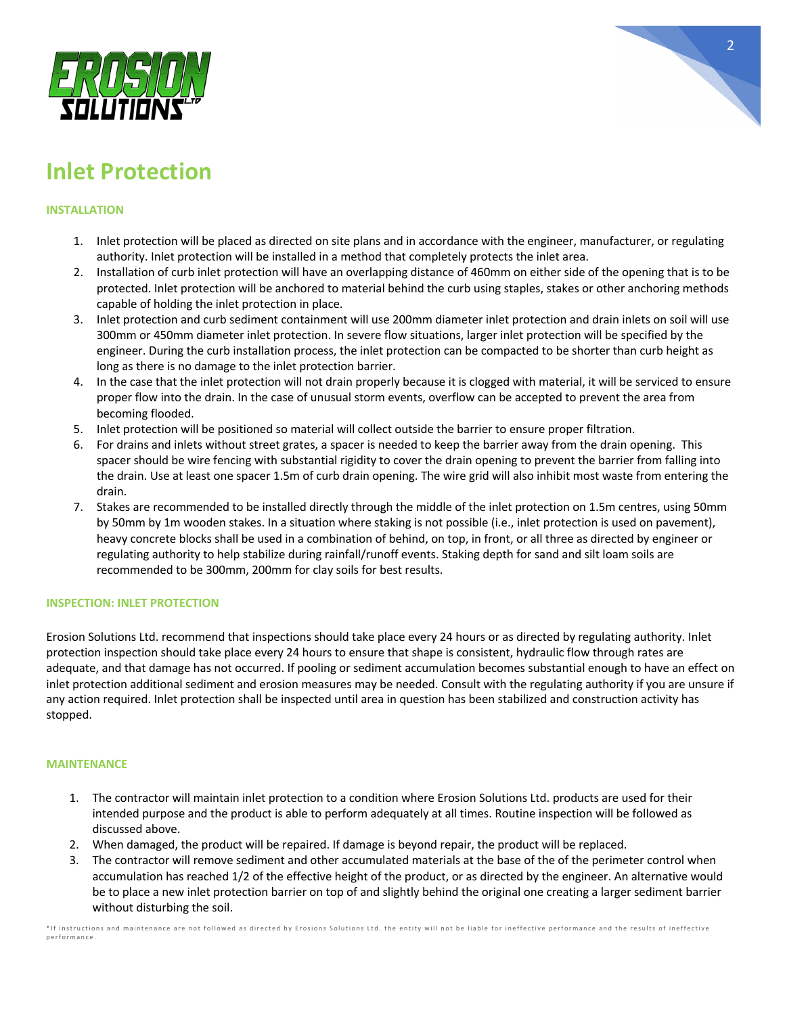

# **Inlet Protection**

## **INSTALLATION**

- 1. Inlet protection will be placed as directed on site plans and in accordance with the engineer, manufacturer, or regulating authority. Inlet protection will be installed in a method that completely protects the inlet area.
- 2. Installation of curb inlet protection will have an overlapping distance of 460mm on either side of the opening that is to be protected. Inlet protection will be anchored to material behind the curb using staples, stakes or other anchoring methods capable of holding the inlet protection in place.
- 3. Inlet protection and curb sediment containment will use 200mm diameter inlet protection and drain inlets on soil will use 300mm or 450mm diameter inlet protection. In severe flow situations, larger inlet protection will be specified by the engineer. During the curb installation process, the inlet protection can be compacted to be shorter than curb height as long as there is no damage to the inlet protection barrier.
- 4. In the case that the inlet protection will not drain properly because it is clogged with material, it will be serviced to ensure proper flow into the drain. In the case of unusual storm events, overflow can be accepted to prevent the area from becoming flooded.
- 5. Inlet protection will be positioned so material will collect outside the barrier to ensure proper filtration.
- 6. For drains and inlets without street grates, a spacer is needed to keep the barrier away from the drain opening. This spacer should be wire fencing with substantial rigidity to cover the drain opening to prevent the barrier from falling into the drain. Use at least one spacer 1.5m of curb drain opening. The wire grid will also inhibit most waste from entering the drain.
- 7. Stakes are recommended to be installed directly through the middle of the inlet protection on 1.5m centres, using 50mm by 50mm by 1m wooden stakes. In a situation where staking is not possible (i.e., inlet protection is used on pavement), heavy concrete blocks shall be used in a combination of behind, on top, in front, or all three as directed by engineer or regulating authority to help stabilize during rainfall/runoff events. Staking depth for sand and silt loam soils are recommended to be 300mm, 200mm for clay soils for best results.

### **INSPECTION: INLET PROTECTION**

Erosion Solutions Ltd. recommend that inspections should take place every 24 hours or as directed by regulating authority. Inlet protection inspection should take place every 24 hours to ensure that shape is consistent, hydraulic flow through rates are adequate, and that damage has not occurred. If pooling or sediment accumulation becomes substantial enough to have an effect on inlet protection additional sediment and erosion measures may be needed. Consult with the regulating authority if you are unsure if any action required. Inlet protection shall be inspected until area in question has been stabilized and construction activity has stopped.

#### **MAINTENANCE**

- 1. The contractor will maintain inlet protection to a condition where Erosion Solutions Ltd. products are used for their intended purpose and the product is able to perform adequately at all times. Routine inspection will be followed as discussed above.
- 2. When damaged, the product will be repaired. If damage is beyond repair, the product will be replaced.
- 3. The contractor will remove sediment and other accumulated materials at the base of the of the perimeter control when accumulation has reached 1/2 of the effective height of the product, or as directed by the engineer. An alternative would be to place a new inlet protection barrier on top of and slightly behind the original one creating a larger sediment barrier without disturbing the soil.

\*If instructions and maintenance are not followed as directed by Erosions Solutions Ltd. the entity will not be liable for ineffective performance and the results of ineffective performance.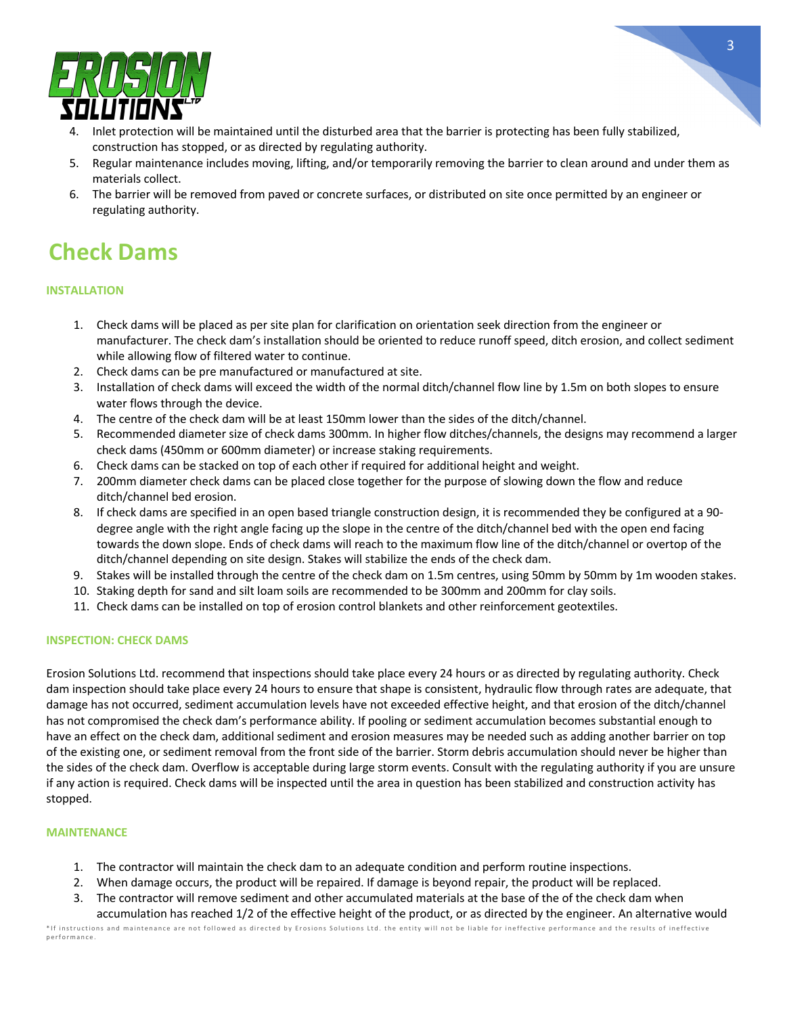

- 4. Inlet protection will be maintained until the disturbed area that the barrier is protecting has been fully stabilized, construction has stopped, or as directed by regulating authority.
- 5. Regular maintenance includes moving, lifting, and/or temporarily removing the barrier to clean around and under them as materials collect.
- 6. The barrier will be removed from paved or concrete surfaces, or distributed on site once permitted by an engineer or regulating authority.

# **Check Dams**

## **INSTALLATION**

- 1. Check dams will be placed as per site plan for clarification on orientation seek direction from the engineer or manufacturer. The check dam's installation should be oriented to reduce runoff speed, ditch erosion, and collect sediment while allowing flow of filtered water to continue.
- 2. Check dams can be pre manufactured or manufactured at site.
- 3. Installation of check dams will exceed the width of the normal ditch/channel flow line by 1.5m on both slopes to ensure water flows through the device.
- 4. The centre of the check dam will be at least 150mm lower than the sides of the ditch/channel.
- 5. Recommended diameter size of check dams 300mm. In higher flow ditches/channels, the designs may recommend a larger check dams (450mm or 600mm diameter) or increase staking requirements.
- 6. Check dams can be stacked on top of each other if required for additional height and weight.
- 7. 200mm diameter check dams can be placed close together for the purpose of slowing down the flow and reduce ditch/channel bed erosion.
- 8. If check dams are specified in an open based triangle construction design, it is recommended they be configured at a 90 degree angle with the right angle facing up the slope in the centre of the ditch/channel bed with the open end facing towards the down slope. Ends of check dams will reach to the maximum flow line of the ditch/channel or overtop of the ditch/channel depending on site design. Stakes will stabilize the ends of the check dam.
- 9. Stakes will be installed through the centre of the check dam on 1.5m centres, using 50mm by 50mm by 1m wooden stakes.
- 10. Staking depth for sand and silt loam soils are recommended to be 300mm and 200mm for clay soils.
- 11. Check dams can be installed on top of erosion control blankets and other reinforcement geotextiles.

### **INSPECTION: CHECK DAMS**

Erosion Solutions Ltd. recommend that inspections should take place every 24 hours or as directed by regulating authority. Check dam inspection should take place every 24 hours to ensure that shape is consistent, hydraulic flow through rates are adequate, that damage has not occurred, sediment accumulation levels have not exceeded effective height, and that erosion of the ditch/channel has not compromised the check dam's performance ability. If pooling or sediment accumulation becomes substantial enough to have an effect on the check dam, additional sediment and erosion measures may be needed such as adding another barrier on top of the existing one, or sediment removal from the front side of the barrier. Storm debris accumulation should never be higher than the sides of the check dam. Overflow is acceptable during large storm events. Consult with the regulating authority if you are unsure if any action is required. Check dams will be inspected until the area in question has been stabilized and construction activity has stopped.

- 1. The contractor will maintain the check dam to an adequate condition and perform routine inspections.
- 2. When damage occurs, the product will be repaired. If damage is beyond repair, the product will be replaced.
- 3. The contractor will remove sediment and other accumulated materials at the base of the of the check dam when accumulation has reached 1/2 of the effective height of the product, or as directed by the engineer. An alternative would

<sup>\*</sup>If instructions and maintenance are not followed as directed by Erosions Solutions Ltd. the entity will not be liable for ineffective performance and the results of ineffective performance.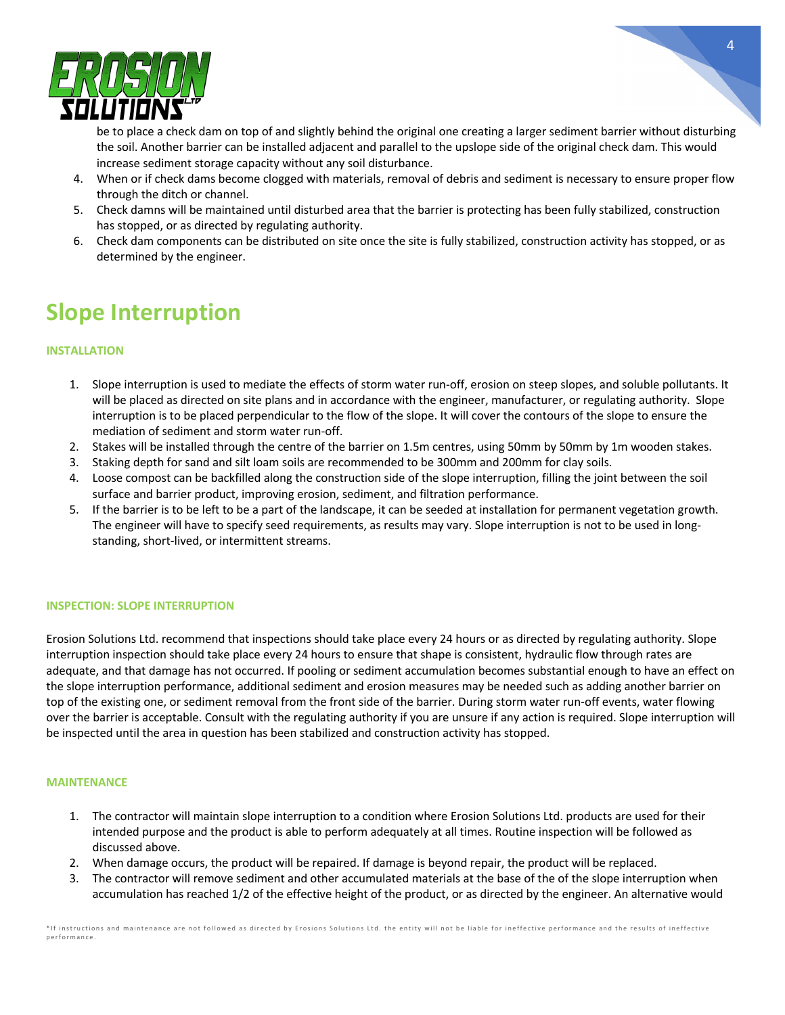

be to place a check dam on top of and slightly behind the original one creating a larger sediment barrier without disturbing the soil. Another barrier can be installed adjacent and parallel to the upslope side of the original check dam. This would increase sediment storage capacity without any soil disturbance.

- 4. When or if check dams become clogged with materials, removal of debris and sediment is necessary to ensure proper flow through the ditch or channel.
- 5. Check damns will be maintained until disturbed area that the barrier is protecting has been fully stabilized, construction has stopped, or as directed by regulating authority.
- 6. Check dam components can be distributed on site once the site is fully stabilized, construction activity has stopped, or as determined by the engineer.

# **Slope Interruption**

## **INSTALLATION**

- 1. Slope interruption is used to mediate the effects of storm water run-off, erosion on steep slopes, and soluble pollutants. It will be placed as directed on site plans and in accordance with the engineer, manufacturer, or regulating authority. Slope interruption is to be placed perpendicular to the flow of the slope. It will cover the contours of the slope to ensure the mediation of sediment and storm water run-off.
- 2. Stakes will be installed through the centre of the barrier on 1.5m centres, using 50mm by 50mm by 1m wooden stakes.
- 3. Staking depth for sand and silt loam soils are recommended to be 300mm and 200mm for clay soils.
- 4. Loose compost can be backfilled along the construction side of the slope interruption, filling the joint between the soil surface and barrier product, improving erosion, sediment, and filtration performance.
- 5. If the barrier is to be left to be a part of the landscape, it can be seeded at installation for permanent vegetation growth. The engineer will have to specify seed requirements, as results may vary. Slope interruption is not to be used in longstanding, short-lived, or intermittent streams.

### **INSPECTION: SLOPE INTERRUPTION**

Erosion Solutions Ltd. recommend that inspections should take place every 24 hours or as directed by regulating authority. Slope interruption inspection should take place every 24 hours to ensure that shape is consistent, hydraulic flow through rates are adequate, and that damage has not occurred. If pooling or sediment accumulation becomes substantial enough to have an effect on the slope interruption performance, additional sediment and erosion measures may be needed such as adding another barrier on top of the existing one, or sediment removal from the front side of the barrier. During storm water run-off events, water flowing over the barrier is acceptable. Consult with the regulating authority if you are unsure if any action is required. Slope interruption will be inspected until the area in question has been stabilized and construction activity has stopped.

- 1. The contractor will maintain slope interruption to a condition where Erosion Solutions Ltd. products are used for their intended purpose and the product is able to perform adequately at all times. Routine inspection will be followed as discussed above.
- 2. When damage occurs, the product will be repaired. If damage is beyond repair, the product will be replaced.
- 3. The contractor will remove sediment and other accumulated materials at the base of the of the slope interruption when accumulation has reached 1/2 of the effective height of the product, or as directed by the engineer. An alternative would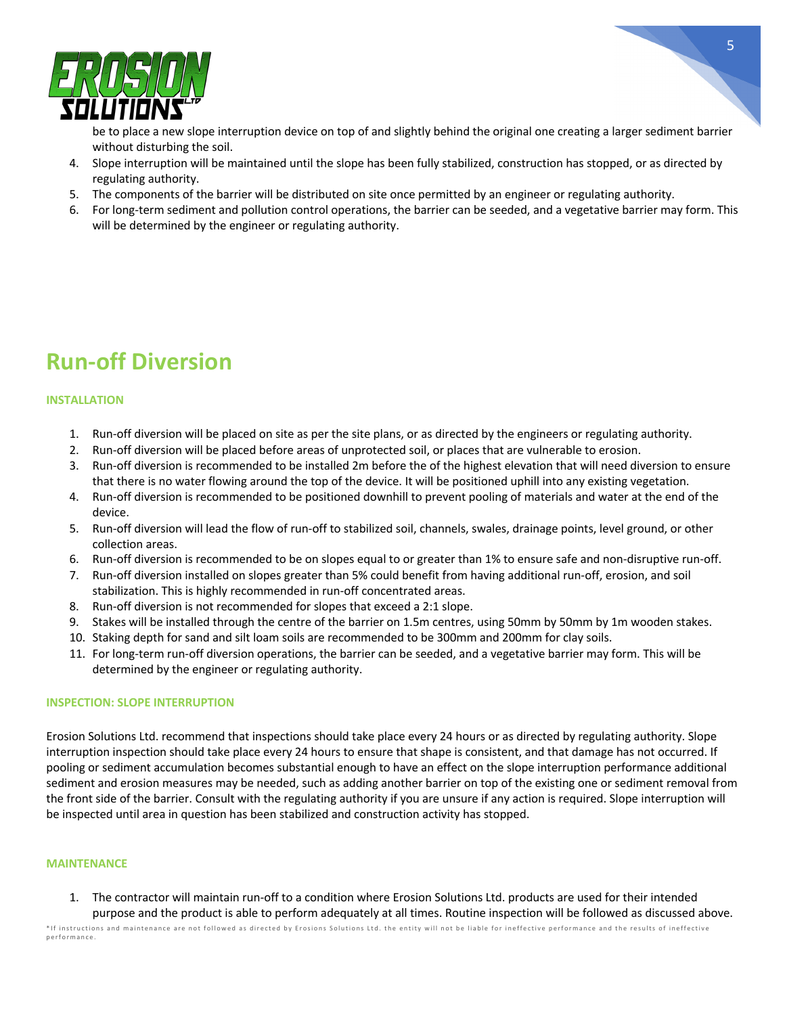

be to place a new slope interruption device on top of and slightly behind the original one creating a larger sediment barrier without disturbing the soil.

- 4. Slope interruption will be maintained until the slope has been fully stabilized, construction has stopped, or as directed by regulating authority.
- 5. The components of the barrier will be distributed on site once permitted by an engineer or regulating authority.
- 6. For long-term sediment and pollution control operations, the barrier can be seeded, and a vegetative barrier may form. This will be determined by the engineer or regulating authority.

# **Run-off Diversion**

### **INSTALLATION**

- 1. Run-off diversion will be placed on site as per the site plans, or as directed by the engineers or regulating authority.
- 2. Run-off diversion will be placed before areas of unprotected soil, or places that are vulnerable to erosion.
- 3. Run-off diversion is recommended to be installed 2m before the of the highest elevation that will need diversion to ensure that there is no water flowing around the top of the device. It will be positioned uphill into any existing vegetation.
- 4. Run-off diversion is recommended to be positioned downhill to prevent pooling of materials and water at the end of the device.
- 5. Run-off diversion will lead the flow of run-off to stabilized soil, channels, swales, drainage points, level ground, or other collection areas.
- 6. Run-off diversion is recommended to be on slopes equal to or greater than 1% to ensure safe and non-disruptive run-off.
- 7. Run-off diversion installed on slopes greater than 5% could benefit from having additional run-off, erosion, and soil stabilization. This is highly recommended in run-off concentrated areas.
- 8. Run-off diversion is not recommended for slopes that exceed a 2:1 slope.
- 9. Stakes will be installed through the centre of the barrier on 1.5m centres, using 50mm by 50mm by 1m wooden stakes.
- 10. Staking depth for sand and silt loam soils are recommended to be 300mm and 200mm for clay soils.
- 11. For long-term run-off diversion operations, the barrier can be seeded, and a vegetative barrier may form. This will be determined by the engineer or regulating authority.

#### **INSPECTION: SLOPE INTERRUPTION**

Erosion Solutions Ltd. recommend that inspections should take place every 24 hours or as directed by regulating authority. Slope interruption inspection should take place every 24 hours to ensure that shape is consistent, and that damage has not occurred. If pooling or sediment accumulation becomes substantial enough to have an effect on the slope interruption performance additional sediment and erosion measures may be needed, such as adding another barrier on top of the existing one or sediment removal from the front side of the barrier. Consult with the regulating authority if you are unsure if any action is required. Slope interruption will be inspected until area in question has been stabilized and construction activity has stopped.

#### **MAINTENANCE**

1. The contractor will maintain run-off to a condition where Erosion Solutions Ltd. products are used for their intended purpose and the product is able to perform adequately at all times. Routine inspection will be followed as discussed above.

\*If instructions and maintenance are not followed as directed by Erosions Solutions Ltd. the entity will not be liable for ineffective performance and the results of ineffective performance.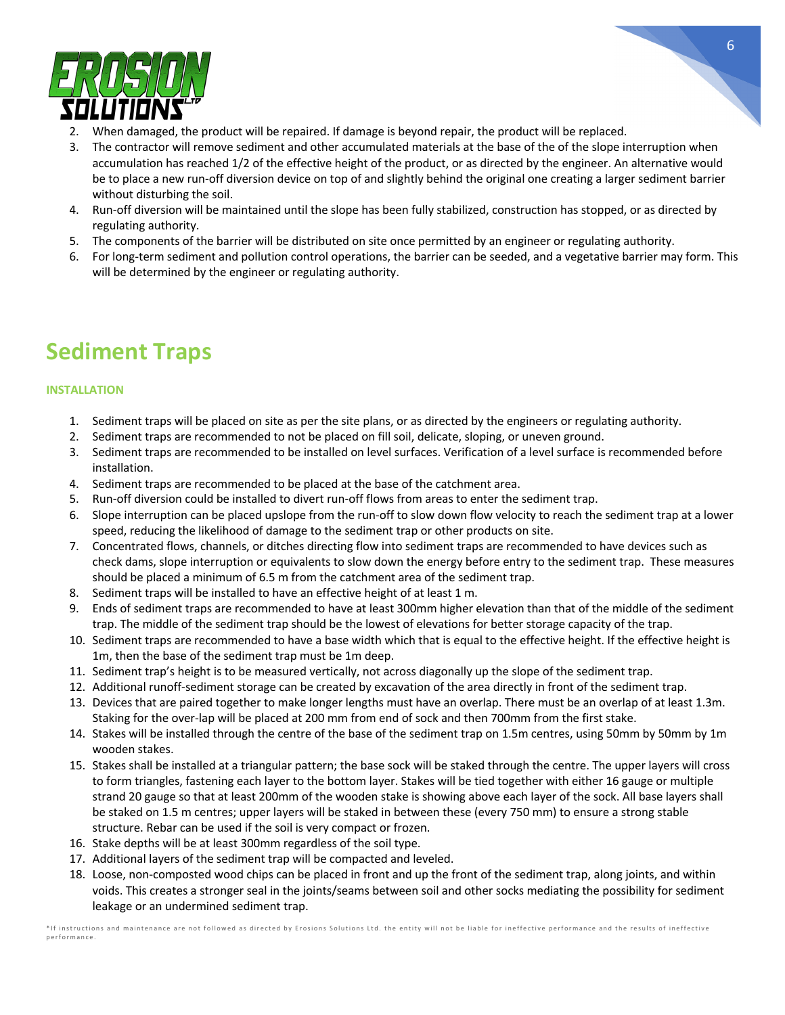

- 2. When damaged, the product will be repaired. If damage is beyond repair, the product will be replaced.
- 3. The contractor will remove sediment and other accumulated materials at the base of the of the slope interruption when accumulation has reached 1/2 of the effective height of the product, or as directed by the engineer. An alternative would be to place a new run-off diversion device on top of and slightly behind the original one creating a larger sediment barrier without disturbing the soil.
- 4. Run-off diversion will be maintained until the slope has been fully stabilized, construction has stopped, or as directed by regulating authority.
- 5. The components of the barrier will be distributed on site once permitted by an engineer or regulating authority.
- 6. For long-term sediment and pollution control operations, the barrier can be seeded, and a vegetative barrier may form. This will be determined by the engineer or regulating authority.

# **Sediment Traps**

### **INSTALLATION**

- 1. Sediment traps will be placed on site as per the site plans, or as directed by the engineers or regulating authority.
- 2. Sediment traps are recommended to not be placed on fill soil, delicate, sloping, or uneven ground.
- 3. Sediment traps are recommended to be installed on level surfaces. Verification of a level surface is recommended before installation.
- 4. Sediment traps are recommended to be placed at the base of the catchment area.
- 5. Run-off diversion could be installed to divert run-off flows from areas to enter the sediment trap.
- 6. Slope interruption can be placed upslope from the run-off to slow down flow velocity to reach the sediment trap at a lower speed, reducing the likelihood of damage to the sediment trap or other products on site.
- 7. Concentrated flows, channels, or ditches directing flow into sediment traps are recommended to have devices such as check dams, slope interruption or equivalents to slow down the energy before entry to the sediment trap. These measures should be placed a minimum of 6.5 m from the catchment area of the sediment trap.
- 8. Sediment traps will be installed to have an effective height of at least 1 m.
- 9. Ends of sediment traps are recommended to have at least 300mm higher elevation than that of the middle of the sediment trap. The middle of the sediment trap should be the lowest of elevations for better storage capacity of the trap.
- 10. Sediment traps are recommended to have a base width which that is equal to the effective height. If the effective height is 1m, then the base of the sediment trap must be 1m deep.
- 11. Sediment trap's height is to be measured vertically, not across diagonally up the slope of the sediment trap.
- 12. Additional runoff-sediment storage can be created by excavation of the area directly in front of the sediment trap.
- 13. Devices that are paired together to make longer lengths must have an overlap. There must be an overlap of at least 1.3m. Staking for the over-lap will be placed at 200 mm from end of sock and then 700mm from the first stake.
- 14. Stakes will be installed through the centre of the base of the sediment trap on 1.5m centres, using 50mm by 50mm by 1m wooden stakes.
- 15. Stakes shall be installed at a triangular pattern; the base sock will be staked through the centre. The upper layers will cross to form triangles, fastening each layer to the bottom layer. Stakes will be tied together with either 16 gauge or multiple strand 20 gauge so that at least 200mm of the wooden stake is showing above each layer of the sock. All base layers shall be staked on 1.5 m centres; upper layers will be staked in between these (every 750 mm) to ensure a strong stable structure. Rebar can be used if the soil is very compact or frozen.
- 16. Stake depths will be at least 300mm regardless of the soil type.
- 17. Additional layers of the sediment trap will be compacted and leveled.
- 18. Loose, non-composted wood chips can be placed in front and up the front of the sediment trap, along joints, and within voids. This creates a stronger seal in the joints/seams between soil and other socks mediating the possibility for sediment leakage or an undermined sediment trap.